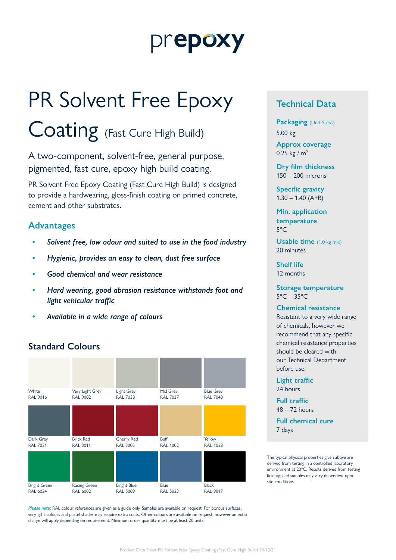## prepoxy

# PR Solvent Free Epoxy

### Coating (Fast Cure High Build)

A two-component, solvent-free, general purpose, pigmented, fast cure, epoxy high build coating.

PR Solvent Free Epoxy Coating (Fast Cure High Build) is designed to provide a hardwearing, gloss-finish coating on primed concrete, cement and other substrates.

#### **Advantages**

- *• Solvent free, low odour and suited to use in the food industry*
- *• Hygienic, provides an easy to clean, dust free surface*
- *• Good chemical and wear resistance*
- *• Hard wearing, good abrasion resistance withstands foot and light vehicular traffic*
- *• Available in a wide range of colours*

#### **Standard Colours**



*Please note:* RAL colour references are given as a guide only. Samples are available on request. For porous surfaces, very light colours and pastel shades may require extra coats. Other colours are available on request, however an extra charge will apply depending on requirement. Minimum order quantity must be at least 20 units.

#### **Technical Data**

**Packaging** (Unit Size/s) 5.00 kg

**Approx coverage** 0.25 kg /  $m^2$ 

**Dry film thickness** 150 – 200 microns

**Specific gravity**  $1.30 - 1.40$  (A+B)

**Min. application temperature** 5°C

**Usable time** (1.0 kg mix) 20 minutes

**Shelf life** 12 months

**Storage temperature**  $5^{\circ}$ C – 35 $^{\circ}$ C

#### **Chemical resistance**

Resistant to a very wide range of chemicals, however we recommend that any specific chemical resistance properties should be cleared with our Technical Department before use.

**Light traffic** 24 hours

**Full traffic**  $48 - 72$  hours

**Full chemical cure** 7 days

The typical physical properties given above are derived from testing in a controlled laboratory environment at 20°C. Results derived from testing field applied samples may vary dependent upon site conditions.